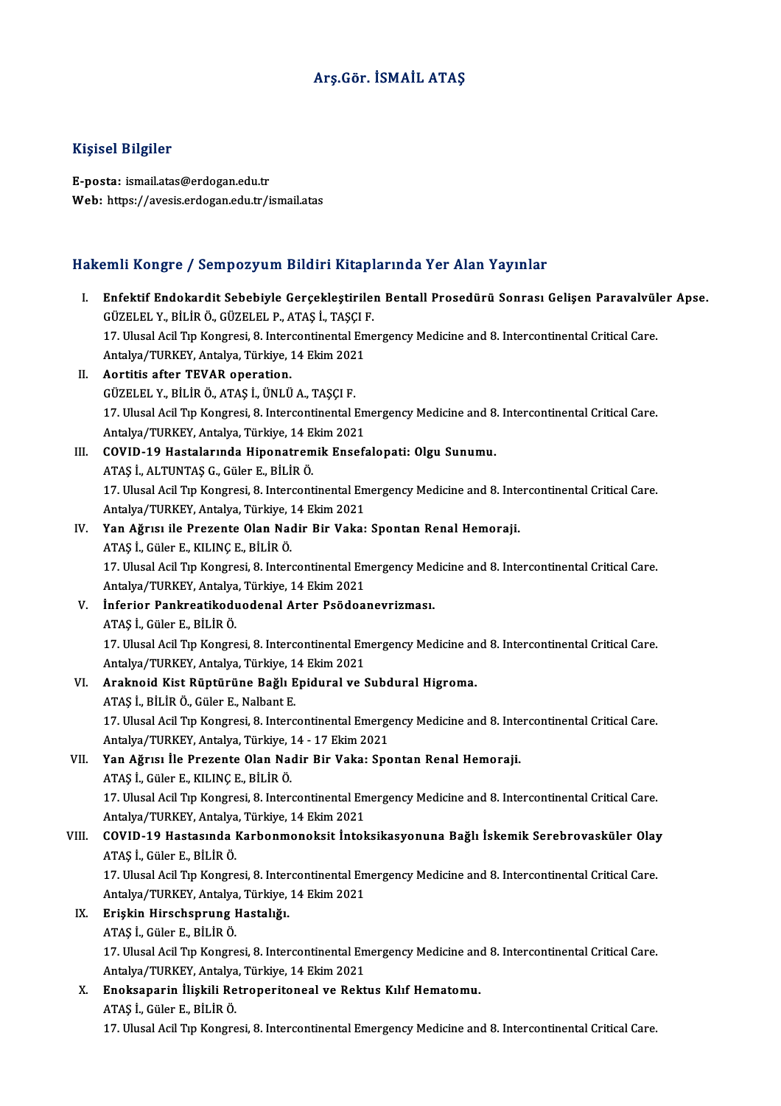### Arş.Gör. İSMAİL ATAŞ

### Kişisel Bilgiler

E-posta: ismail.atas@erdogan.edu.tr Web: https://avesis.erdogan.edu.tr/ismail.atas

# م المسابق.<br>Hakemli Kongre / Sempozyum Bildiri Kitaplarında Yer Alan Yayınlar

|       | Hakemli Kongre / Sempozyum Bildiri Kitaplarında Yer Alan Yayınlar                                                                                             |
|-------|---------------------------------------------------------------------------------------------------------------------------------------------------------------|
| L.    | Enfektif Endokardit Sebebiyle Gerçekleştirilen Bentall Prosedürü Sonrası Gelişen Paravalvüler Apse.<br>GÜZELEL Y., BİLİR Ö., GÜZELEL P., ATAŞ İ., TAŞÇI F.    |
|       | 17. Ulusal Acil Tıp Kongresi, 8. Intercontinental Emergency Medicine and 8. Intercontinental Critical Care.<br>Antalya/TURKEY, Antalya, Türkiye, 14 Ekim 2021 |
| П.    | Aortitis after TEVAR operation.                                                                                                                               |
|       | GÜZELEL Y., BİLİR Ö., ATAŞ İ., ÜNLÜ A., TAŞÇI F.                                                                                                              |
|       | 17. Ulusal Acil Tıp Kongresi, 8. Intercontinental Emergency Medicine and 8. Intercontinental Critical Care.                                                   |
|       | Antalya/TURKEY, Antalya, Türkiye, 14 Ekim 2021                                                                                                                |
| III.  | COVID-19 Hastalarında Hiponatremik Ensefalopati: Olgu Sunumu.                                                                                                 |
|       | ATAŞ İ., ALTUNTAŞ G., Güler E., BİLİR Ö.                                                                                                                      |
|       | 17. Ulusal Acil Tıp Kongresi, 8. Intercontinental Emergency Medicine and 8. Intercontinental Critical Care.                                                   |
|       | Antalya/TURKEY, Antalya, Türkiye, 14 Ekim 2021                                                                                                                |
| IV.   | Yan Ağrısı ile Prezente Olan Nadir Bir Vaka: Spontan Renal Hemoraji.                                                                                          |
|       | ATAŞ İ., Güler E., KILINÇ E., BİLİR Ö.                                                                                                                        |
|       | 17. Ulusal Acil Tıp Kongresi, 8. Intercontinental Emergency Medicine and 8. Intercontinental Critical Care.                                                   |
|       | Antalya/TURKEY, Antalya, Türkiye, 14 Ekim 2021                                                                                                                |
| V.    | Inferior Pankreatikoduodenal Arter Psödoanevrizması.                                                                                                          |
|       | ATAŞ İ., Güler E., BİLİR Ö.                                                                                                                                   |
|       | 17. Ulusal Acil Tıp Kongresi, 8. Intercontinental Emergency Medicine and 8. Intercontinental Critical Care.                                                   |
|       | Antalya/TURKEY, Antalya, Türkiye, 14 Ekim 2021                                                                                                                |
| VI.   | Araknoid Kist Rüptürüne Bağlı Epidural ve Subdural Higroma.                                                                                                   |
|       | ATAŞ İ., BİLİR Ö., Güler E., Nalbant E.                                                                                                                       |
|       | 17. Ulusal Acil Tıp Kongresi, 8. Intercontinental Emergency Medicine and 8. Intercontinental Critical Care.                                                   |
|       | Antalya/TURKEY, Antalya, Türkiye, 14 - 17 Ekim 2021                                                                                                           |
| VII.  | Yan Ağrısı İle Prezente Olan Nadir Bir Vaka: Spontan Renal Hemoraji.                                                                                          |
|       | ATAŞ İ., Güler E., KILINÇ E., BİLİR Ö.                                                                                                                        |
|       | 17. Ulusal Acil Tıp Kongresi, 8. Intercontinental Emergency Medicine and 8. Intercontinental Critical Care.                                                   |
|       | Antalya/TURKEY, Antalya, Türkiye, 14 Ekim 2021                                                                                                                |
| VIII. | COVID-19 Hastasında Karbonmonoksit İntoksikasyonuna Bağlı İskemik Serebrovasküler Olay                                                                        |
|       | ATAŞ İ., Güler E., BİLİR Ö.                                                                                                                                   |
|       | 17. Ulusal Acil Tıp Kongresi, 8. Intercontinental Emergency Medicine and 8. Intercontinental Critical Care.                                                   |
|       | Antalya/TURKEY, Antalya, Türkiye, 14 Ekim 2021                                                                                                                |
| IX.   | Erişkin Hirschsprung Hastalığı.                                                                                                                               |
|       | ATAŞ İ., Güler E., BİLİR Ö.                                                                                                                                   |
|       | 17. Ulusal Acil Tıp Kongresi, 8. Intercontinental Emergency Medicine and 8. Intercontinental Critical Care.                                                   |
|       | Antalya/TURKEY, Antalya, Türkiye, 14 Ekim 2021                                                                                                                |
| Х.    | Enoksaparin İlişkili Retroperitoneal ve Rektus Kılıf Hematomu.                                                                                                |
|       | ATAŞ İ, Güler E, BİLİR Ö.                                                                                                                                     |
|       | 17. Ulusal Acil Tıp Kongresi, 8. Intercontinental Emergency Medicine and 8. Intercontinental Critical Care.                                                   |